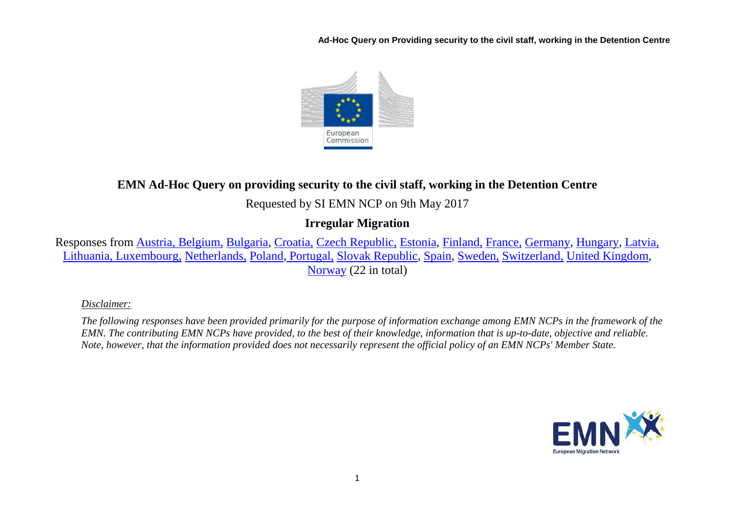**Ad-Hoc Query on Providing security to the civil staff, working in the Detention Centre**



# **EMN Ad-Hoc Query on providing security to the civil staff, working in the Detention Centre**

### Requested by SI EMN NCP on 9th May 2017

## **Irregular Migration**

Responses from [Austria, Belgium,](#page-1-0) [Bulgaria,](#page-3-0) [Croatia,](#page-4-0) [Czech Republic,](#page-4-1) [Estonia,](#page-5-0) [Finland,](#page-6-0) [France,](#page-7-0) [Germany,](#page-7-1) [Hungary,](#page-8-0) [Latvia,](#page-8-1) [Lithuania, Luxembourg,](#page-9-0) [Netherlands,](#page-10-0) [Poland,](#page-10-1) [Portugal,](#page-10-2) [Slovak Republic,](#page-11-0) [Spain,](#page-11-1) [Sweden,](#page-11-2) [Switzerland,](#page-12-0) [United Kingdom,](#page-13-0) [Norway](#page-14-0) (22 in total)

*Disclaimer:* 

*The following responses have been provided primarily for the purpose of information exchange among EMN NCPs in the framework of the EMN. The contributing EMN NCPs have provided, to the best of their knowledge, information that is up-to-date, objective and reliable. Note, however, that the information provided does not necessarily represent the official policy of an EMN NCPs' Member State.*

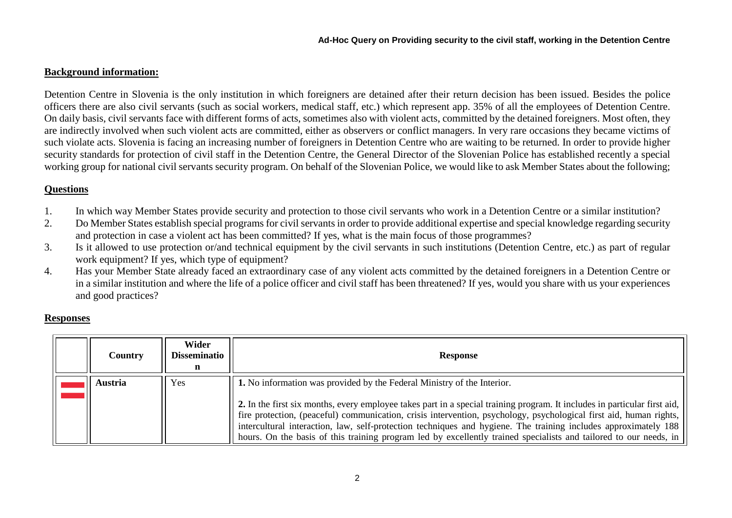#### **Background information:**

Detention Centre in Slovenia is the only institution in which foreigners are detained after their return decision has been issued. Besides the police officers there are also civil servants (such as social workers, medical staff, etc.) which represent app. 35% of all the employees of Detention Centre. On daily basis, civil servants face with different forms of acts, sometimes also with violent acts, committed by the detained foreigners. Most often, they are indirectly involved when such violent acts are committed, either as observers or conflict managers. In very rare occasions they became victims of such violate acts. Slovenia is facing an increasing number of foreigners in Detention Centre who are waiting to be returned. In order to provide higher security standards for protection of civil staff in the Detention Centre, the General Director of the Slovenian Police has established recently a special working group for national civil servants security program. On behalf of the Slovenian Police, we would like to ask Member States about the following;

#### **Questions**

- 1. In which way Member States provide security and protection to those civil servants who work in a Detention Centre or a similar institution?
- 2. Do Member States establish special programs for civil servants in order to provide additional expertise and special knowledge regarding security and protection in case a violent act has been committed? If yes, what is the main focus of those programmes?
- 3. Is it allowed to use protection or/and technical equipment by the civil servants in such institutions (Detention Centre, etc.) as part of regular work equipment? If yes, which type of equipment?
- 4. Has your Member State already faced an extraordinary case of any violent acts committed by the detained foreigners in a Detention Centre or in a similar institution and where the life of a police officer and civil staff has been threatened? If yes, would you share with us your experiences and good practices?

#### **Responses**

<span id="page-1-0"></span>

| <b>Country</b> | Wider<br><b>Disseminatio</b> | Response                                                                                                                                                                                                                                                                                                                                                                                                                                                                                |
|----------------|------------------------------|-----------------------------------------------------------------------------------------------------------------------------------------------------------------------------------------------------------------------------------------------------------------------------------------------------------------------------------------------------------------------------------------------------------------------------------------------------------------------------------------|
| Austria        | Yes                          | 1. No information was provided by the Federal Ministry of the Interior.                                                                                                                                                                                                                                                                                                                                                                                                                 |
|                |                              | 2. In the first six months, every employee takes part in a special training program. It includes in particular first aid,<br>fire protection, (peaceful) communication, crisis intervention, psychology, psychological first aid, human rights,<br>intercultural interaction, law, self-protection techniques and hygiene. The training includes approximately 188<br>hours. On the basis of this training program led by excellently trained specialists and tailored to our needs, in |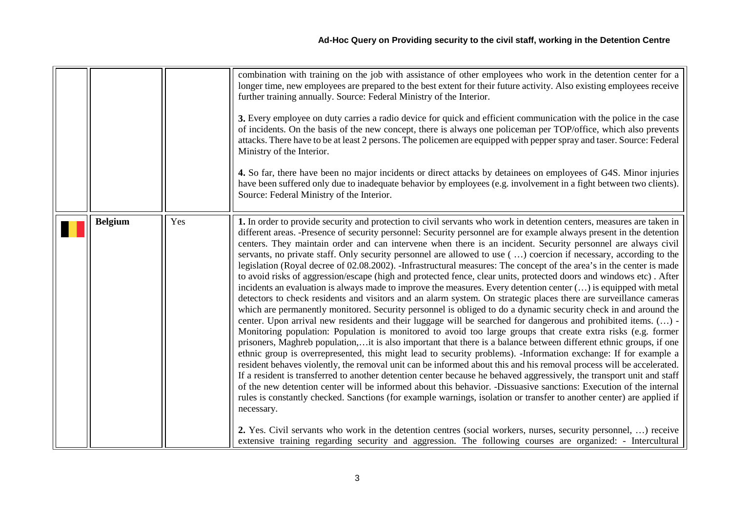|                |     | combination with training on the job with assistance of other employees who work in the detention center for a<br>longer time, new employees are prepared to the best extent for their future activity. Also existing employees receive<br>further training annually. Source: Federal Ministry of the Interior.<br>3. Every employee on duty carries a radio device for quick and efficient communication with the police in the case<br>of incidents. On the basis of the new concept, there is always one policeman per TOP/office, which also prevents<br>attacks. There have to be at least 2 persons. The policemen are equipped with pepper spray and taser. Source: Federal<br>Ministry of the Interior.<br>4. So far, there have been no major incidents or direct attacks by detainees on employees of G4S. Minor injuries<br>have been suffered only due to inadequate behavior by employees (e.g. involvement in a fight between two clients).<br>Source: Federal Ministry of the Interior.                                                                                                                                                                                                                                                                                                                                                                                                                                                                                                                                                                                                                                                                                                                                                                                                                                                                                                                                                                                                                                                                                                                                                                                                                                                                                                                     |
|----------------|-----|----------------------------------------------------------------------------------------------------------------------------------------------------------------------------------------------------------------------------------------------------------------------------------------------------------------------------------------------------------------------------------------------------------------------------------------------------------------------------------------------------------------------------------------------------------------------------------------------------------------------------------------------------------------------------------------------------------------------------------------------------------------------------------------------------------------------------------------------------------------------------------------------------------------------------------------------------------------------------------------------------------------------------------------------------------------------------------------------------------------------------------------------------------------------------------------------------------------------------------------------------------------------------------------------------------------------------------------------------------------------------------------------------------------------------------------------------------------------------------------------------------------------------------------------------------------------------------------------------------------------------------------------------------------------------------------------------------------------------------------------------------------------------------------------------------------------------------------------------------------------------------------------------------------------------------------------------------------------------------------------------------------------------------------------------------------------------------------------------------------------------------------------------------------------------------------------------------------------------------------------------------------------------------------------------------------------------|
| <b>Belgium</b> | Yes | 1. In order to provide security and protection to civil servants who work in detention centers, measures are taken in<br>different areas. -Presence of security personnel: Security personnel are for example always present in the detention<br>centers. They maintain order and can intervene when there is an incident. Security personnel are always civil<br>servants, no private staff. Only security personnel are allowed to use () coercion if necessary, according to the<br>legislation (Royal decree of 02.08.2002). -Infrastructural measures: The concept of the area's in the center is made<br>to avoid risks of aggression/escape (high and protected fence, clear units, protected doors and windows etc). After<br>incidents an evaluation is always made to improve the measures. Every detention center () is equipped with metal<br>detectors to check residents and visitors and an alarm system. On strategic places there are surveillance cameras<br>which are permanently monitored. Security personnel is obliged to do a dynamic security check in and around the<br>center. Upon arrival new residents and their luggage will be searched for dangerous and prohibited items. () -<br>Monitoring population: Population is monitored to avoid too large groups that create extra risks (e.g. former<br>prisoners, Maghreb population,it is also important that there is a balance between different ethnic groups, if one<br>ethnic group is overrepresented, this might lead to security problems). -Information exchange: If for example a<br>resident behaves violently, the removal unit can be informed about this and his removal process will be accelerated.<br>If a resident is transferred to another detention center because he behaved aggressively, the transport unit and staff<br>of the new detention center will be informed about this behavior. -Dissuasive sanctions: Execution of the internal<br>rules is constantly checked. Sanctions (for example warnings, isolation or transfer to another center) are applied if<br>necessary.<br>2. Yes. Civil servants who work in the detention centres (social workers, nurses, security personnel, ) receive<br>extensive training regarding security and aggression. The following courses are organized: - Intercultural |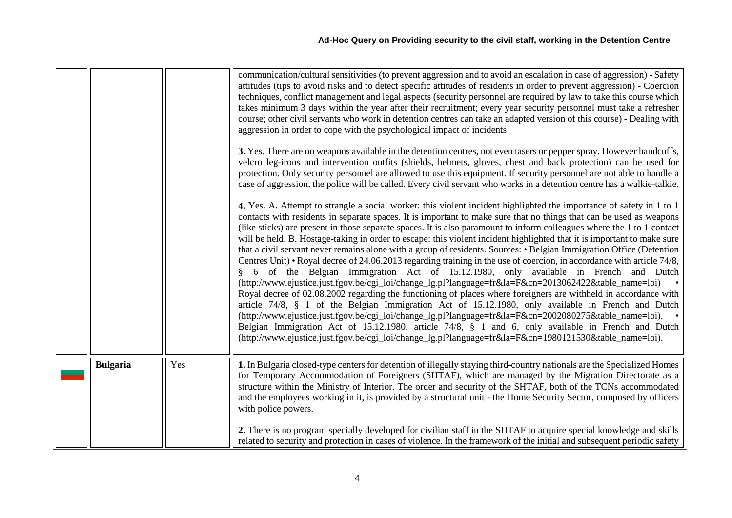<span id="page-3-0"></span>

|  |                 |     | communication/cultural sensitivities (to prevent aggression and to avoid an escalation in case of aggression) - Safety<br>attitudes (tips to avoid risks and to detect specific attitudes of residents in order to prevent aggression) - Coercion<br>techniques, conflict management and legal aspects (security personnel are required by law to take this course which<br>takes minimum 3 days within the year after their recruitment; every year security personnel must take a refresher<br>course; other civil servants who work in detention centres can take an adapted version of this course) - Dealing with<br>aggression in order to cope with the psychological impact of incidents                                                                                                                                                                                                                                                                                                                                                                                                                                                                                                                                                                                                                                                                                                                                                                                                     |
|--|-----------------|-----|------------------------------------------------------------------------------------------------------------------------------------------------------------------------------------------------------------------------------------------------------------------------------------------------------------------------------------------------------------------------------------------------------------------------------------------------------------------------------------------------------------------------------------------------------------------------------------------------------------------------------------------------------------------------------------------------------------------------------------------------------------------------------------------------------------------------------------------------------------------------------------------------------------------------------------------------------------------------------------------------------------------------------------------------------------------------------------------------------------------------------------------------------------------------------------------------------------------------------------------------------------------------------------------------------------------------------------------------------------------------------------------------------------------------------------------------------------------------------------------------------|
|  |                 |     | 3. Yes. There are no weapons available in the detention centres, not even tasers or pepper spray. However handcuffs,<br>velcro leg-irons and intervention outfits (shields, helmets, gloves, chest and back protection) can be used for<br>protection. Only security personnel are allowed to use this equipment. If security personnel are not able to handle a<br>case of aggression, the police will be called. Every civil servant who works in a detention centre has a walkie-talkie.                                                                                                                                                                                                                                                                                                                                                                                                                                                                                                                                                                                                                                                                                                                                                                                                                                                                                                                                                                                                          |
|  |                 |     | 4. Yes. A. Attempt to strangle a social worker: this violent incident highlighted the importance of safety in 1 to 1<br>contacts with residents in separate spaces. It is important to make sure that no things that can be used as weapons<br>(like sticks) are present in those separate spaces. It is also paramount to inform colleagues where the 1 to 1 contact<br>will be held. B. Hostage-taking in order to escape: this violent incident highlighted that it is important to make sure<br>that a civil servant never remains alone with a group of residents. Sources: • Belgian Immigration Office (Detention<br>Centres Unit) • Royal decree of 24.06.2013 regarding training in the use of coercion, in accordance with article 74/8,<br>6 of the Belgian Immigration Act of 15.12.1980, only available in French and Dutch<br>(http://www.ejustice.just.fgov.be/cgi_loi/change_lg.pl?language=fr&la=F&cn=2013062422&table_name=loi)<br>Royal decree of 02.08.2002 regarding the functioning of places where foreigners are withheld in accordance with<br>article 74/8, § 1 of the Belgian Immigration Act of 15.12.1980, only available in French and Dutch<br>(http://www.ejustice.just.fgov.be/cgi_loi/change_lg.pl?language=fr&la=F&cn=2002080275&table_name=loi).<br>Belgian Immigration Act of 15.12.1980, article 74/8, § 1 and 6, only available in French and Dutch<br>(http://www.ejustice.just.fgov.be/cgi_loi/change_lg.pl?language=fr&la=F&cn=1980121530&table_name=loi). |
|  | <b>Bulgaria</b> | Yes | 1. In Bulgaria closed-type centers for detention of illegally staying third-country nationals are the Specialized Homes<br>for Temporary Accommodation of Foreigners (SHTAF), which are managed by the Migration Directorate as a<br>structure within the Ministry of Interior. The order and security of the SHTAF, both of the TCNs accommodated<br>and the employees working in it, is provided by a structural unit - the Home Security Sector, composed by officers<br>with police powers.                                                                                                                                                                                                                                                                                                                                                                                                                                                                                                                                                                                                                                                                                                                                                                                                                                                                                                                                                                                                      |
|  |                 |     | 2. There is no program specially developed for civilian staff in the SHTAF to acquire special knowledge and skills<br>related to security and protection in cases of violence. In the framework of the initial and subsequent periodic safety                                                                                                                                                                                                                                                                                                                                                                                                                                                                                                                                                                                                                                                                                                                                                                                                                                                                                                                                                                                                                                                                                                                                                                                                                                                        |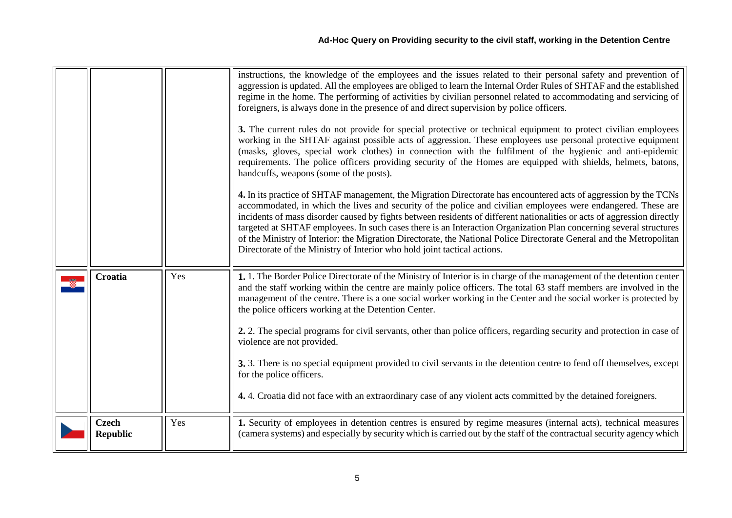<span id="page-4-1"></span><span id="page-4-0"></span>

|                                 |     | instructions, the knowledge of the employees and the issues related to their personal safety and prevention of<br>aggression is updated. All the employees are obliged to learn the Internal Order Rules of SHTAF and the established<br>regime in the home. The performing of activities by civilian personnel related to accommodating and servicing of<br>foreigners, is always done in the presence of and direct supervision by police officers.<br>3. The current rules do not provide for special protective or technical equipment to protect civilian employees<br>working in the SHTAF against possible acts of aggression. These employees use personal protective equipment<br>(masks, gloves, special work clothes) in connection with the fulfilment of the hygienic and anti-epidemic<br>requirements. The police officers providing security of the Homes are equipped with shields, helmets, batons,<br>handcuffs, weapons (some of the posts).<br>4. In its practice of SHTAF management, the Migration Directorate has encountered acts of aggression by the TCNs<br>accommodated, in which the lives and security of the police and civilian employees were endangered. These are<br>incidents of mass disorder caused by fights between residents of different nationalities or acts of aggression directly |
|---------------------------------|-----|----------------------------------------------------------------------------------------------------------------------------------------------------------------------------------------------------------------------------------------------------------------------------------------------------------------------------------------------------------------------------------------------------------------------------------------------------------------------------------------------------------------------------------------------------------------------------------------------------------------------------------------------------------------------------------------------------------------------------------------------------------------------------------------------------------------------------------------------------------------------------------------------------------------------------------------------------------------------------------------------------------------------------------------------------------------------------------------------------------------------------------------------------------------------------------------------------------------------------------------------------------------------------------------------------------------------------------|
|                                 |     | targeted at SHTAF employees. In such cases there is an Interaction Organization Plan concerning several structures<br>of the Ministry of Interior: the Migration Directorate, the National Police Directorate General and the Metropolitan<br>Directorate of the Ministry of Interior who hold joint tactical actions.                                                                                                                                                                                                                                                                                                                                                                                                                                                                                                                                                                                                                                                                                                                                                                                                                                                                                                                                                                                                           |
| Croatia                         | Yes | 1. 1. The Border Police Directorate of the Ministry of Interior is in charge of the management of the detention center<br>and the staff working within the centre are mainly police officers. The total 63 staff members are involved in the<br>management of the centre. There is a one social worker working in the Center and the social worker is protected by<br>the police officers working at the Detention Center.                                                                                                                                                                                                                                                                                                                                                                                                                                                                                                                                                                                                                                                                                                                                                                                                                                                                                                       |
|                                 |     | 2. 2. The special programs for civil servants, other than police officers, regarding security and protection in case of<br>violence are not provided.                                                                                                                                                                                                                                                                                                                                                                                                                                                                                                                                                                                                                                                                                                                                                                                                                                                                                                                                                                                                                                                                                                                                                                            |
|                                 |     | 3. 3. There is no special equipment provided to civil servants in the detention centre to fend off themselves, except<br>for the police officers.                                                                                                                                                                                                                                                                                                                                                                                                                                                                                                                                                                                                                                                                                                                                                                                                                                                                                                                                                                                                                                                                                                                                                                                |
|                                 |     | 4.4. Croatia did not face with an extraordinary case of any violent acts committed by the detained foreigners.                                                                                                                                                                                                                                                                                                                                                                                                                                                                                                                                                                                                                                                                                                                                                                                                                                                                                                                                                                                                                                                                                                                                                                                                                   |
| <b>Czech</b><br><b>Republic</b> | Yes | 1. Security of employees in detention centres is ensured by regime measures (internal acts), technical measures<br>(camera systems) and especially by security which is carried out by the staff of the contractual security agency which                                                                                                                                                                                                                                                                                                                                                                                                                                                                                                                                                                                                                                                                                                                                                                                                                                                                                                                                                                                                                                                                                        |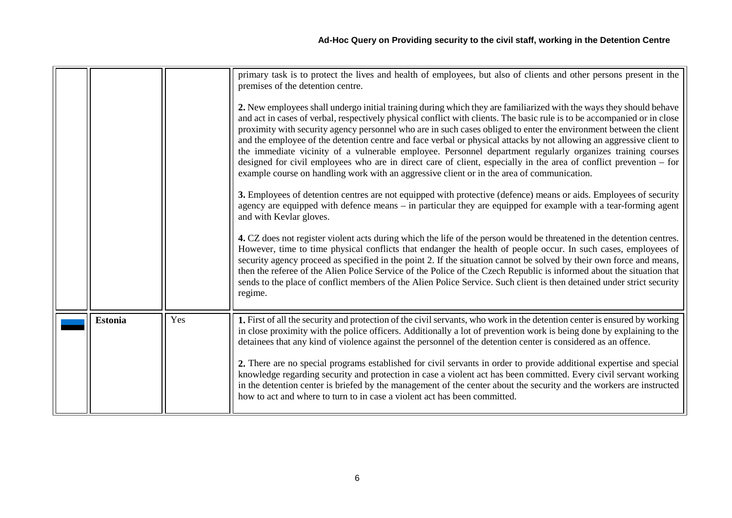<span id="page-5-0"></span>

|                |     | primary task is to protect the lives and health of employees, but also of clients and other persons present in the<br>premises of the detention centre.<br>2. New employees shall undergo initial training during which they are familiarized with the ways they should behave<br>and act in cases of verbal, respectively physical conflict with clients. The basic rule is to be accompanied or in close<br>proximity with security agency personnel who are in such cases obliged to enter the environment between the client<br>and the employee of the detention centre and face verbal or physical attacks by not allowing an aggressive client to<br>the immediate vicinity of a vulnerable employee. Personnel department regularly organizes training courses<br>designed for civil employees who are in direct care of client, especially in the area of conflict prevention – for                                                                                                   |
|----------------|-----|------------------------------------------------------------------------------------------------------------------------------------------------------------------------------------------------------------------------------------------------------------------------------------------------------------------------------------------------------------------------------------------------------------------------------------------------------------------------------------------------------------------------------------------------------------------------------------------------------------------------------------------------------------------------------------------------------------------------------------------------------------------------------------------------------------------------------------------------------------------------------------------------------------------------------------------------------------------------------------------------|
|                |     | example course on handling work with an aggressive client or in the area of communication.<br>3. Employees of detention centres are not equipped with protective (defence) means or aids. Employees of security<br>agency are equipped with defence means – in particular they are equipped for example with a tear-forming agent<br>and with Kevlar gloves.<br>4. CZ does not register violent acts during which the life of the person would be threatened in the detention centres.<br>However, time to time physical conflicts that endanger the health of people occur. In such cases, employees of<br>security agency proceed as specified in the point 2. If the situation cannot be solved by their own force and means,<br>then the referee of the Alien Police Service of the Police of the Czech Republic is informed about the situation that<br>sends to the place of conflict members of the Alien Police Service. Such client is then detained under strict security<br>regime. |
| <b>Estonia</b> | Yes | 1. First of all the security and protection of the civil servants, who work in the detention center is ensured by working<br>in close proximity with the police officers. Additionally a lot of prevention work is being done by explaining to the<br>detainees that any kind of violence against the personnel of the detention center is considered as an offence.<br>2. There are no special programs established for civil servants in order to provide additional expertise and special<br>knowledge regarding security and protection in case a violent act has been committed. Every civil servant working<br>in the detention center is briefed by the management of the center about the security and the workers are instructed<br>how to act and where to turn to in case a violent act has been committed.                                                                                                                                                                         |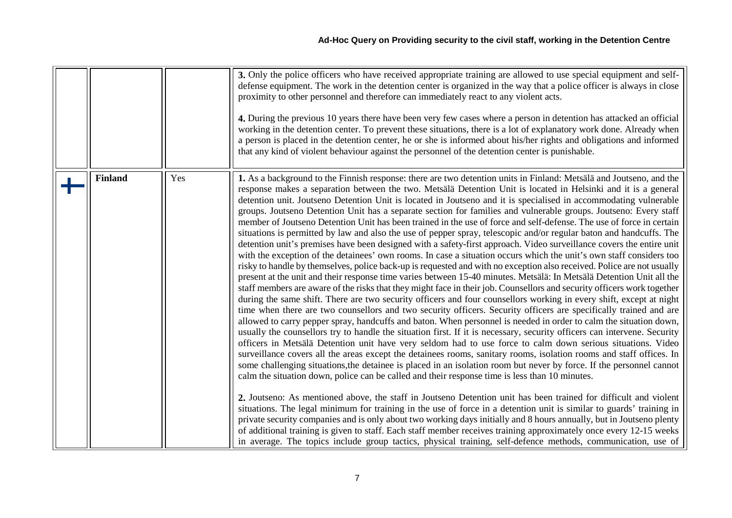<span id="page-6-0"></span>

|                |     | 3. Only the police officers who have received appropriate training are allowed to use special equipment and self-<br>defense equipment. The work in the detention center is organized in the way that a police officer is always in close<br>proximity to other personnel and therefore can immediately react to any violent acts.<br>4. During the previous 10 years there have been very few cases where a person in detention has attacked an official<br>working in the detention center. To prevent these situations, there is a lot of explanatory work done. Already when<br>a person is placed in the detention center, he or she is informed about his/her rights and obligations and informed<br>that any kind of violent behaviour against the personnel of the detention center is punishable.                                                                                                                                                                                                                                                                                                                                                                                                                                                                                                                                                                                                                                                                                                                                                                                                                                                                                                                                                                                                                                                                                                                                                                                                                                                                                                                                                                                                                                                                                                                                                                                                                                                                                                                                                                                                                                                                                                                                                                                                                                                                                                                      |
|----------------|-----|---------------------------------------------------------------------------------------------------------------------------------------------------------------------------------------------------------------------------------------------------------------------------------------------------------------------------------------------------------------------------------------------------------------------------------------------------------------------------------------------------------------------------------------------------------------------------------------------------------------------------------------------------------------------------------------------------------------------------------------------------------------------------------------------------------------------------------------------------------------------------------------------------------------------------------------------------------------------------------------------------------------------------------------------------------------------------------------------------------------------------------------------------------------------------------------------------------------------------------------------------------------------------------------------------------------------------------------------------------------------------------------------------------------------------------------------------------------------------------------------------------------------------------------------------------------------------------------------------------------------------------------------------------------------------------------------------------------------------------------------------------------------------------------------------------------------------------------------------------------------------------------------------------------------------------------------------------------------------------------------------------------------------------------------------------------------------------------------------------------------------------------------------------------------------------------------------------------------------------------------------------------------------------------------------------------------------------------------------------------------------------------------------------------------------------------------------------------------------------------------------------------------------------------------------------------------------------------------------------------------------------------------------------------------------------------------------------------------------------------------------------------------------------------------------------------------------------------------------------------------------------------------------------------------------------|
| <b>Finland</b> | Yes | 1. As a background to the Finnish response: there are two detention units in Finland: Metsälä and Joutseno, and the<br>response makes a separation between the two. Metsälä Detention Unit is located in Helsinki and it is a general<br>detention unit. Joutseno Detention Unit is located in Joutseno and it is specialised in accommodating vulnerable<br>groups. Joutseno Detention Unit has a separate section for families and vulnerable groups. Joutseno: Every staff<br>member of Joutseno Detention Unit has been trained in the use of force and self-defense. The use of force in certain<br>situations is permitted by law and also the use of pepper spray, telescopic and/or regular baton and handcuffs. The<br>detention unit's premises have been designed with a safety-first approach. Video surveillance covers the entire unit<br>with the exception of the detainees' own rooms. In case a situation occurs which the unit's own staff considers too<br>risky to handle by themselves, police back-up is requested and with no exception also received. Police are not usually<br>present at the unit and their response time varies between 15-40 minutes. Metsälä: In Metsälä Detention Unit all the<br>staff members are aware of the risks that they might face in their job. Counsellors and security officers work together<br>during the same shift. There are two security officers and four counsellors working in every shift, except at night<br>time when there are two counsellors and two security officers. Security officers are specifically trained and are<br>allowed to carry pepper spray, handcuffs and baton. When personnel is needed in order to calm the situation down,<br>usually the counsellors try to handle the situation first. If it is necessary, security officers can intervene. Security<br>officers in Metsälä Detention unit have very seldom had to use force to calm down serious situations. Video<br>surveillance covers all the areas except the detainees rooms, sanitary rooms, isolation rooms and staff offices. In<br>some challenging situations, the detainee is placed in an isolation room but never by force. If the personnel cannot<br>calm the situation down, police can be called and their response time is less than 10 minutes.<br>2. Joutseno: As mentioned above, the staff in Joutseno Detention unit has been trained for difficult and violent<br>situations. The legal minimum for training in the use of force in a detention unit is similar to guards' training in<br>private security companies and is only about two working days initially and 8 hours annually, but in Joutseno plenty<br>of additional training is given to staff. Each staff member receives training approximately once every 12-15 weeks<br>in average. The topics include group tactics, physical training, self-defence methods, communication, use of |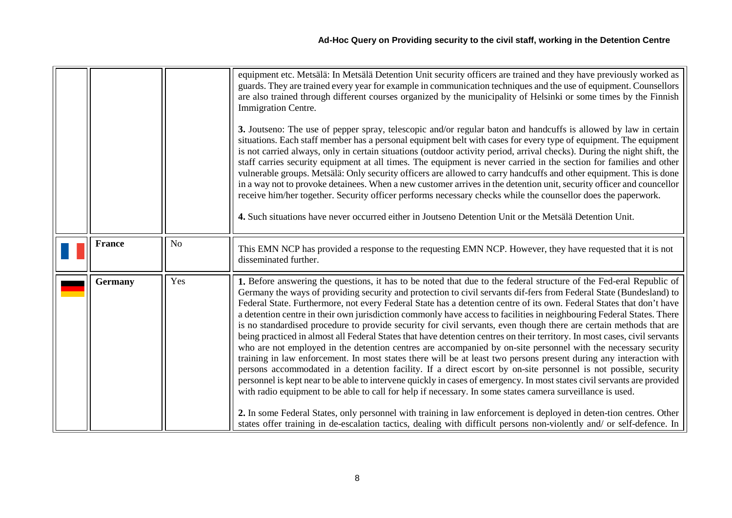<span id="page-7-1"></span><span id="page-7-0"></span>

|                |                | equipment etc. Metsälä: In Metsälä Detention Unit security officers are trained and they have previously worked as<br>guards. They are trained every year for example in communication techniques and the use of equipment. Counsellors<br>are also trained through different courses organized by the municipality of Helsinki or some times by the Finnish<br>Immigration Centre.<br>3. Joutseno: The use of pepper spray, telescopic and/or regular baton and handcuffs is allowed by law in certain<br>situations. Each staff member has a personal equipment belt with cases for every type of equipment. The equipment<br>is not carried always, only in certain situations (outdoor activity period, arrival checks). During the night shift, the<br>staff carries security equipment at all times. The equipment is never carried in the section for families and other<br>vulnerable groups. Metsälä: Only security officers are allowed to carry handcuffs and other equipment. This is done<br>in a way not to provoke detainees. When a new customer arrives in the detention unit, security officer and councellor<br>receive him/her together. Security officer performs necessary checks while the counsellor does the paperwork.<br>4. Such situations have never occurred either in Joutseno Detention Unit or the Metsälä Detention Unit.                                                                                                                                                                                                                                            |
|----------------|----------------|--------------------------------------------------------------------------------------------------------------------------------------------------------------------------------------------------------------------------------------------------------------------------------------------------------------------------------------------------------------------------------------------------------------------------------------------------------------------------------------------------------------------------------------------------------------------------------------------------------------------------------------------------------------------------------------------------------------------------------------------------------------------------------------------------------------------------------------------------------------------------------------------------------------------------------------------------------------------------------------------------------------------------------------------------------------------------------------------------------------------------------------------------------------------------------------------------------------------------------------------------------------------------------------------------------------------------------------------------------------------------------------------------------------------------------------------------------------------------------------------------------------------------------------------------------------------------------------------------------|
| <b>France</b>  | N <sub>o</sub> | This EMN NCP has provided a response to the requesting EMN NCP. However, they have requested that it is not<br>disseminated further.                                                                                                                                                                                                                                                                                                                                                                                                                                                                                                                                                                                                                                                                                                                                                                                                                                                                                                                                                                                                                                                                                                                                                                                                                                                                                                                                                                                                                                                                   |
| <b>Germany</b> | Yes            | 1. Before answering the questions, it has to be noted that due to the federal structure of the Fed-eral Republic of<br>Germany the ways of providing security and protection to civil servants dif-fers from Federal State (Bundesland) to<br>Federal State. Furthermore, not every Federal State has a detention centre of its own. Federal States that don't have<br>a detention centre in their own jurisdiction commonly have access to facilities in neighbouring Federal States. There<br>is no standardised procedure to provide security for civil servants, even though there are certain methods that are<br>being practiced in almost all Federal States that have detention centres on their territory. In most cases, civil servants<br>who are not employed in the detention centres are accompanied by on-site personnel with the necessary security<br>training in law enforcement. In most states there will be at least two persons present during any interaction with<br>persons accommodated in a detention facility. If a direct escort by on-site personnel is not possible, security<br>personnel is kept near to be able to intervene quickly in cases of emergency. In most states civil servants are provided<br>with radio equipment to be able to call for help if necessary. In some states camera surveillance is used.<br>2. In some Federal States, only personnel with training in law enforcement is deployed in deten-tion centres. Other<br>states offer training in de-escalation tactics, dealing with difficult persons non-violently and/ or self-defence. In |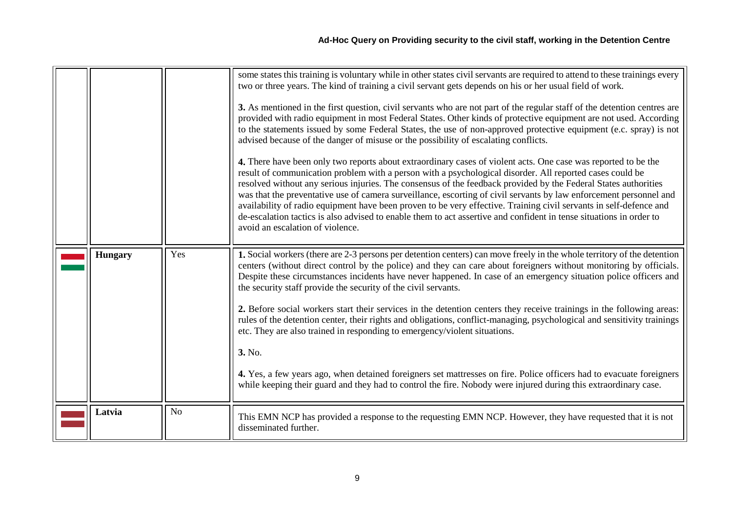<span id="page-8-1"></span><span id="page-8-0"></span>

|                |                | some states this training is voluntary while in other states civil servants are required to attend to these trainings every<br>two or three years. The kind of training a civil servant gets depends on his or her usual field of work.<br>3. As mentioned in the first question, civil servants who are not part of the regular staff of the detention centres are<br>provided with radio equipment in most Federal States. Other kinds of protective equipment are not used. According<br>to the statements issued by some Federal States, the use of non-approved protective equipment (e.c. spray) is not<br>advised because of the danger of misuse or the possibility of escalating conflicts.<br>4. There have been only two reports about extraordinary cases of violent acts. One case was reported to be the<br>result of communication problem with a person with a psychological disorder. All reported cases could be<br>resolved without any serious injuries. The consensus of the feedback provided by the Federal States authorities<br>was that the preventative use of camera surveillance, escorting of civil servants by law enforcement personnel and<br>availability of radio equipment have been proven to be very effective. Training civil servants in self-defence and<br>de-escalation tactics is also advised to enable them to act assertive and confident in tense situations in order to<br>avoid an escalation of violence. |
|----------------|----------------|--------------------------------------------------------------------------------------------------------------------------------------------------------------------------------------------------------------------------------------------------------------------------------------------------------------------------------------------------------------------------------------------------------------------------------------------------------------------------------------------------------------------------------------------------------------------------------------------------------------------------------------------------------------------------------------------------------------------------------------------------------------------------------------------------------------------------------------------------------------------------------------------------------------------------------------------------------------------------------------------------------------------------------------------------------------------------------------------------------------------------------------------------------------------------------------------------------------------------------------------------------------------------------------------------------------------------------------------------------------------------------------------------------------------------------------------------------------|
| <b>Hungary</b> | Yes            | 1. Social workers (there are 2-3 persons per detention centers) can move freely in the whole territory of the detention<br>centers (without direct control by the police) and they can care about foreigners without monitoring by officials.<br>Despite these circumstances incidents have never happened. In case of an emergency situation police officers and<br>the security staff provide the security of the civil servants.<br>2. Before social workers start their services in the detention centers they receive trainings in the following areas:<br>rules of the detention center, their rights and obligations, conflict-managing, psychological and sensitivity trainings<br>etc. They are also trained in responding to emergency/violent situations.<br>3. No.<br>4. Yes, a few years ago, when detained foreigners set mattresses on fire. Police officers had to evacuate foreigners<br>while keeping their guard and they had to control the fire. Nobody were injured during this extraordinary case.                                                                                                                                                                                                                                                                                                                                                                                                                                    |
| Latvia         | N <sub>o</sub> | This EMN NCP has provided a response to the requesting EMN NCP. However, they have requested that it is not<br>disseminated further.                                                                                                                                                                                                                                                                                                                                                                                                                                                                                                                                                                                                                                                                                                                                                                                                                                                                                                                                                                                                                                                                                                                                                                                                                                                                                                                         |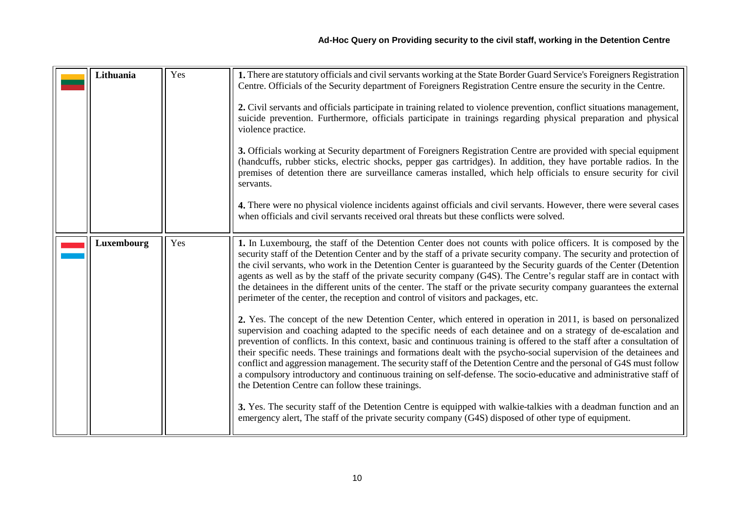<span id="page-9-0"></span>

| Lithuania         | Yes | 1. There are statutory officials and civil servants working at the State Border Guard Service's Foreigners Registration<br>Centre. Officials of the Security department of Foreigners Registration Centre ensure the security in the Centre.<br>2. Civil servants and officials participate in training related to violence prevention, conflict situations management,<br>suicide prevention. Furthermore, officials participate in trainings regarding physical preparation and physical<br>violence practice.<br>3. Officials working at Security department of Foreigners Registration Centre are provided with special equipment<br>(handcuffs, rubber sticks, electric shocks, pepper gas cartridges). In addition, they have portable radios. In the<br>premises of detention there are surveillance cameras installed, which help officials to ensure security for civil<br>servants.<br>4. There were no physical violence incidents against officials and civil servants. However, there were several cases<br>when officials and civil servants received oral threats but these conflicts were solved.                                                                                                                                                                                                                                                                                                                                                                                                                                                                                                                                                                                                      |
|-------------------|-----|------------------------------------------------------------------------------------------------------------------------------------------------------------------------------------------------------------------------------------------------------------------------------------------------------------------------------------------------------------------------------------------------------------------------------------------------------------------------------------------------------------------------------------------------------------------------------------------------------------------------------------------------------------------------------------------------------------------------------------------------------------------------------------------------------------------------------------------------------------------------------------------------------------------------------------------------------------------------------------------------------------------------------------------------------------------------------------------------------------------------------------------------------------------------------------------------------------------------------------------------------------------------------------------------------------------------------------------------------------------------------------------------------------------------------------------------------------------------------------------------------------------------------------------------------------------------------------------------------------------------------------------------------------------------------------------------------------------------|
| <b>Luxembourg</b> | Yes | 1. In Luxembourg, the staff of the Detention Center does not counts with police officers. It is composed by the<br>security staff of the Detention Center and by the staff of a private security company. The security and protection of<br>the civil servants, who work in the Detention Center is guaranteed by the Security guards of the Center (Detention<br>agents as well as by the staff of the private security company (G4S). The Centre's regular staff are in contact with<br>the detainees in the different units of the center. The staff or the private security company guarantees the external<br>perimeter of the center, the reception and control of visitors and packages, etc.<br>2. Yes. The concept of the new Detention Center, which entered in operation in 2011, is based on personalized<br>supervision and coaching adapted to the specific needs of each detainee and on a strategy of de-escalation and<br>prevention of conflicts. In this context, basic and continuous training is offered to the staff after a consultation of<br>their specific needs. These trainings and formations dealt with the psycho-social supervision of the detainees and<br>conflict and aggression management. The security staff of the Detention Centre and the personal of G4S must follow<br>a compulsory introductory and continuous training on self-defense. The socio-educative and administrative staff of<br>the Detention Centre can follow these trainings.<br>3. Yes. The security staff of the Detention Centre is equipped with walkie-talkies with a deadman function and an<br>emergency alert, The staff of the private security company (G4S) disposed of other type of equipment. |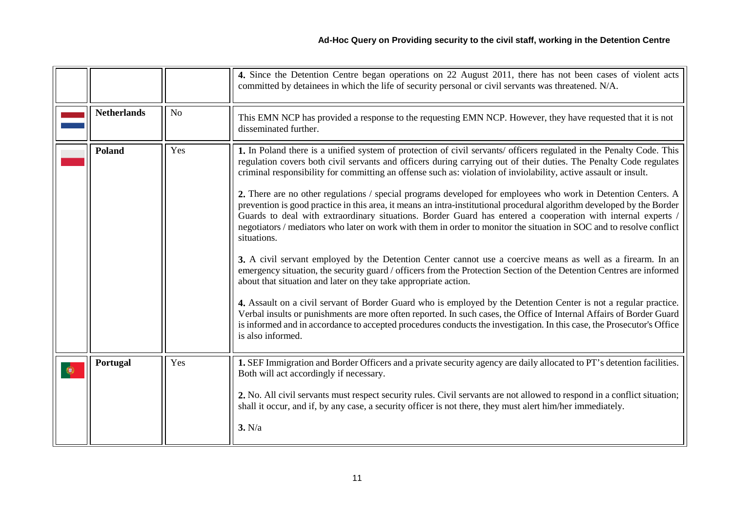<span id="page-10-2"></span><span id="page-10-1"></span><span id="page-10-0"></span>

|                    |                | 4. Since the Detention Centre began operations on 22 August 2011, there has not been cases of violent acts<br>committed by detainees in which the life of security personal or civil servants was threatened. N/A.                                                                                                                                                                                                                                                                                                                                                                                                                                                                                                                                                                                                                                                                                                                                                                                                                                                                                                                                                                                                                                                                                                                                                                                                                                                                                                                                                    |
|--------------------|----------------|-----------------------------------------------------------------------------------------------------------------------------------------------------------------------------------------------------------------------------------------------------------------------------------------------------------------------------------------------------------------------------------------------------------------------------------------------------------------------------------------------------------------------------------------------------------------------------------------------------------------------------------------------------------------------------------------------------------------------------------------------------------------------------------------------------------------------------------------------------------------------------------------------------------------------------------------------------------------------------------------------------------------------------------------------------------------------------------------------------------------------------------------------------------------------------------------------------------------------------------------------------------------------------------------------------------------------------------------------------------------------------------------------------------------------------------------------------------------------------------------------------------------------------------------------------------------------|
| <b>Netherlands</b> | N <sub>o</sub> | This EMN NCP has provided a response to the requesting EMN NCP. However, they have requested that it is not<br>disseminated further.                                                                                                                                                                                                                                                                                                                                                                                                                                                                                                                                                                                                                                                                                                                                                                                                                                                                                                                                                                                                                                                                                                                                                                                                                                                                                                                                                                                                                                  |
| <b>Poland</b>      | Yes            | 1. In Poland there is a unified system of protection of civil servants/ officers regulated in the Penalty Code. This<br>regulation covers both civil servants and officers during carrying out of their duties. The Penalty Code regulates<br>criminal responsibility for committing an offense such as: violation of inviolability, active assault or insult.<br>2. There are no other regulations / special programs developed for employees who work in Detention Centers. A<br>prevention is good practice in this area, it means an intra-institutional procedural algorithm developed by the Border<br>Guards to deal with extraordinary situations. Border Guard has entered a cooperation with internal experts /<br>negotiators / mediators who later on work with them in order to monitor the situation in SOC and to resolve conflict<br>situations.<br>3. A civil servant employed by the Detention Center cannot use a coercive means as well as a firearm. In an<br>emergency situation, the security guard / officers from the Protection Section of the Detention Centres are informed<br>about that situation and later on they take appropriate action.<br>4. Assault on a civil servant of Border Guard who is employed by the Detention Center is not a regular practice.<br>Verbal insults or punishments are more often reported. In such cases, the Office of Internal Affairs of Border Guard<br>is informed and in accordance to accepted procedures conducts the investigation. In this case, the Prosecutor's Office<br>is also informed. |
| Portugal           | Yes            | 1. SEF Immigration and Border Officers and a private security agency are daily allocated to PT's detention facilities.<br>Both will act accordingly if necessary.<br>2. No. All civil servants must respect security rules. Civil servants are not allowed to respond in a conflict situation;<br>shall it occur, and if, by any case, a security officer is not there, they must alert him/her immediately.<br>3. N/a                                                                                                                                                                                                                                                                                                                                                                                                                                                                                                                                                                                                                                                                                                                                                                                                                                                                                                                                                                                                                                                                                                                                                |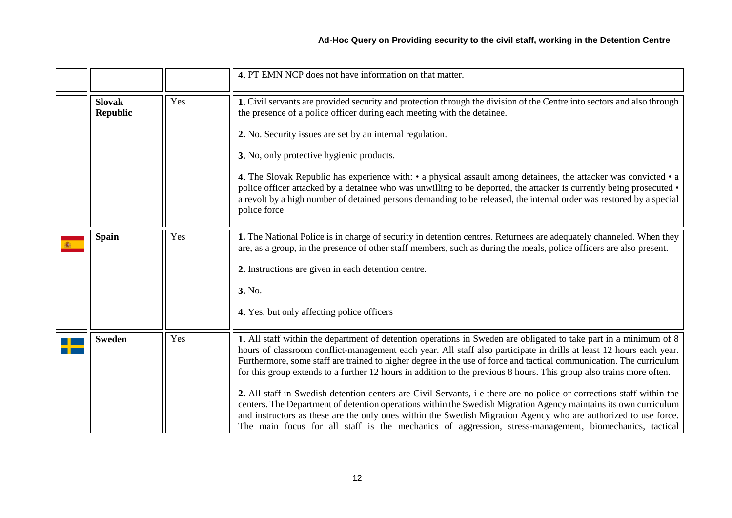<span id="page-11-2"></span><span id="page-11-1"></span><span id="page-11-0"></span>

|                                  |     | 4. PT EMN NCP does not have information on that matter.                                                                                                                                                                                                                                                                                                                                                                                                                                                                                                                                                                                                                                                                                                                                                                                                                                                                                                           |
|----------------------------------|-----|-------------------------------------------------------------------------------------------------------------------------------------------------------------------------------------------------------------------------------------------------------------------------------------------------------------------------------------------------------------------------------------------------------------------------------------------------------------------------------------------------------------------------------------------------------------------------------------------------------------------------------------------------------------------------------------------------------------------------------------------------------------------------------------------------------------------------------------------------------------------------------------------------------------------------------------------------------------------|
| <b>Slovak</b><br><b>Republic</b> | Yes | 1. Civil servants are provided security and protection through the division of the Centre into sectors and also through<br>the presence of a police officer during each meeting with the detainee.<br>2. No. Security issues are set by an internal regulation.<br>3. No, only protective hygienic products.<br>4. The Slovak Republic has experience with: $\cdot$ a physical assault among detainees, the attacker was convicted $\cdot$ a<br>police officer attacked by a detainee who was unwilling to be deported, the attacker is currently being prosecuted •<br>a revolt by a high number of detained persons demanding to be released, the internal order was restored by a special<br>police force                                                                                                                                                                                                                                                      |
| <b>Spain</b>                     | Yes | 1. The National Police is in charge of security in detention centres. Returnees are adequately channeled. When they<br>are, as a group, in the presence of other staff members, such as during the meals, police officers are also present.<br>2. Instructions are given in each detention centre.<br>3. No.<br>4. Yes, but only affecting police officers                                                                                                                                                                                                                                                                                                                                                                                                                                                                                                                                                                                                        |
| <b>Sweden</b>                    | Yes | 1. All staff within the department of detention operations in Sweden are obligated to take part in a minimum of 8<br>hours of classroom conflict-management each year. All staff also participate in drills at least 12 hours each year.<br>Furthermore, some staff are trained to higher degree in the use of force and tactical communication. The curriculum<br>for this group extends to a further 12 hours in addition to the previous 8 hours. This group also trains more often.<br>2. All staff in Swedish detention centers are Civil Servants, i e there are no police or corrections staff within the<br>centers. The Department of detention operations within the Swedish Migration Agency maintains its own curriculum<br>and instructors as these are the only ones within the Swedish Migration Agency who are authorized to use force.<br>The main focus for all staff is the mechanics of aggression, stress-management, biomechanics, tactical |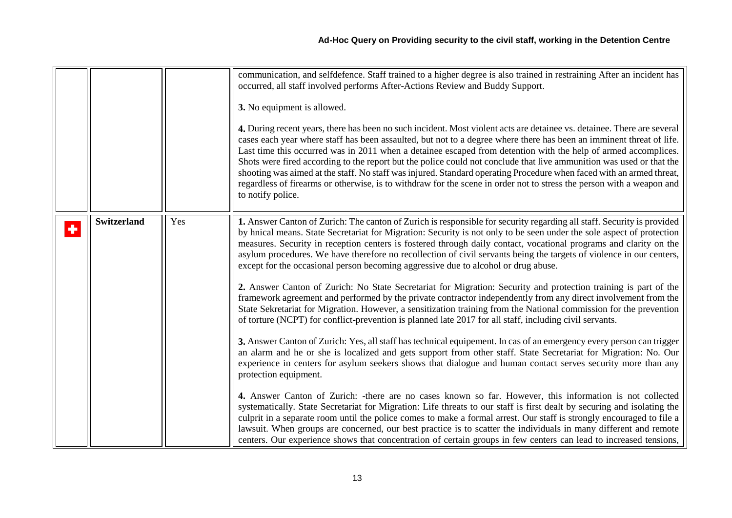<span id="page-12-0"></span>

|   |                    |     | communication, and selfdefence. Staff trained to a higher degree is also trained in restraining After an incident has<br>occurred, all staff involved performs After-Actions Review and Buddy Support.<br>3. No equipment is allowed.<br>4. During recent years, there has been no such incident. Most violent acts are detainee vs. detainee. There are several<br>cases each year where staff has been assaulted, but not to a degree where there has been an imminent threat of life.<br>Last time this occurred was in 2011 when a detainee escaped from detention with the help of armed accomplices.<br>Shots were fired according to the report but the police could not conclude that live ammunition was used or that the<br>shooting was aimed at the staff. No staff was injured. Standard operating Procedure when faced with an armed threat,<br>regardless of firearms or otherwise, is to withdraw for the scene in order not to stress the person with a weapon and<br>to notify police.                                                                                                                                                                                                                                                                                                                                                                                                                                                                                                                                                                                                                                                                                                                                                                                                                                                                                                                                                                                                                                              |
|---|--------------------|-----|-------------------------------------------------------------------------------------------------------------------------------------------------------------------------------------------------------------------------------------------------------------------------------------------------------------------------------------------------------------------------------------------------------------------------------------------------------------------------------------------------------------------------------------------------------------------------------------------------------------------------------------------------------------------------------------------------------------------------------------------------------------------------------------------------------------------------------------------------------------------------------------------------------------------------------------------------------------------------------------------------------------------------------------------------------------------------------------------------------------------------------------------------------------------------------------------------------------------------------------------------------------------------------------------------------------------------------------------------------------------------------------------------------------------------------------------------------------------------------------------------------------------------------------------------------------------------------------------------------------------------------------------------------------------------------------------------------------------------------------------------------------------------------------------------------------------------------------------------------------------------------------------------------------------------------------------------------------------------------------------------------------------------------------------------------|
| ÷ | <b>Switzerland</b> | Yes | 1. Answer Canton of Zurich: The canton of Zurich is responsible for security regarding all staff. Security is provided<br>by hnical means. State Secretariat for Migration: Security is not only to be seen under the sole aspect of protection<br>measures. Security in reception centers is fostered through daily contact, vocational programs and clarity on the<br>asylum procedures. We have therefore no recollection of civil servants being the targets of violence in our centers,<br>except for the occasional person becoming aggressive due to alcohol or drug abuse.<br>2. Answer Canton of Zurich: No State Secretariat for Migration: Security and protection training is part of the<br>framework agreement and performed by the private contractor independently from any direct involvement from the<br>State Sekretariat for Migration. However, a sensitization training from the National commission for the prevention<br>of torture (NCPT) for conflict-prevention is planned late 2017 for all staff, including civil servants.<br>3. Answer Canton of Zurich: Yes, all staff has technical equipement. In cas of an emergency every person can trigger<br>an alarm and he or she is localized and gets support from other staff. State Secretariat for Migration: No. Our<br>experience in centers for asylum seekers shows that dialogue and human contact serves security more than any<br>protection equipment.<br>4. Answer Canton of Zurich: -there are no cases known so far. However, this information is not collected<br>systematically. State Secretariat for Migration: Life threats to our staff is first dealt by securing and isolating the<br>culprit in a separate room until the police comes to make a formal arrest. Our staff is strongly encouraged to file a<br>lawsuit. When groups are concerned, our best practice is to scatter the individuals in many different and remote<br>centers. Our experience shows that concentration of certain groups in few centers can lead to increased tensions, |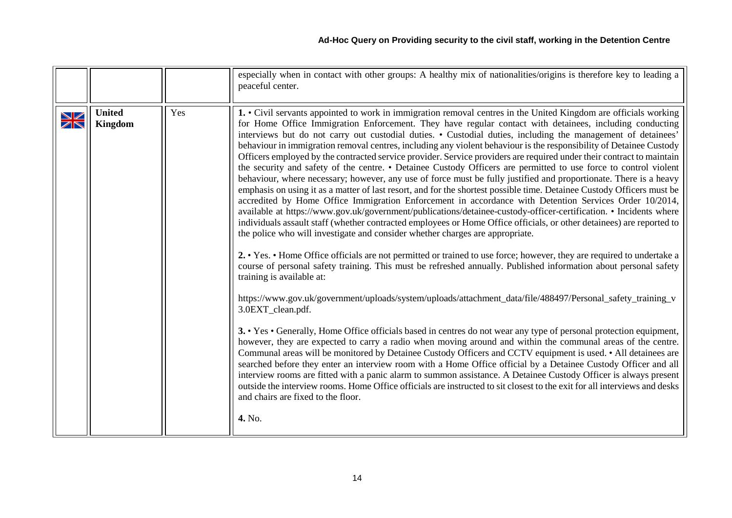<span id="page-13-0"></span>

|                                     |                          |     | especially when in contact with other groups: A healthy mix of nationalities/origins is therefore key to leading a<br>peaceful center.                                                                                                                                                                                                                                                                                                                                                                                                                                                                                                                                                                                                                                                                                                                                                                                                                                                                                                                                                                                                                                                                                                                                                                                                                                                                                                                                                                                                                                                                                                                                                                                                                                                                                                                                                                                                                                                                                                                                                                                                                                                                                                                                                                                                                                                                                                                                                                                                                                                           |
|-------------------------------------|--------------------------|-----|--------------------------------------------------------------------------------------------------------------------------------------------------------------------------------------------------------------------------------------------------------------------------------------------------------------------------------------------------------------------------------------------------------------------------------------------------------------------------------------------------------------------------------------------------------------------------------------------------------------------------------------------------------------------------------------------------------------------------------------------------------------------------------------------------------------------------------------------------------------------------------------------------------------------------------------------------------------------------------------------------------------------------------------------------------------------------------------------------------------------------------------------------------------------------------------------------------------------------------------------------------------------------------------------------------------------------------------------------------------------------------------------------------------------------------------------------------------------------------------------------------------------------------------------------------------------------------------------------------------------------------------------------------------------------------------------------------------------------------------------------------------------------------------------------------------------------------------------------------------------------------------------------------------------------------------------------------------------------------------------------------------------------------------------------------------------------------------------------------------------------------------------------------------------------------------------------------------------------------------------------------------------------------------------------------------------------------------------------------------------------------------------------------------------------------------------------------------------------------------------------------------------------------------------------------------------------------------------------|
| ↘∠<br>$\overline{\mathbb{Z}}\nabla$ | <b>United</b><br>Kingdom | Yes | 1. • Civil servants appointed to work in immigration removal centres in the United Kingdom are officials working<br>for Home Office Immigration Enforcement. They have regular contact with detainees, including conducting<br>interviews but do not carry out custodial duties. • Custodial duties, including the management of detainees'<br>behaviour in immigration removal centres, including any violent behaviour is the responsibility of Detainee Custody<br>Officers employed by the contracted service provider. Service providers are required under their contract to maintain<br>the security and safety of the centre. • Detainee Custody Officers are permitted to use force to control violent<br>behaviour, where necessary; however, any use of force must be fully justified and proportionate. There is a heavy<br>emphasis on using it as a matter of last resort, and for the shortest possible time. Detainee Custody Officers must be<br>accredited by Home Office Immigration Enforcement in accordance with Detention Services Order 10/2014,<br>available at https://www.gov.uk/government/publications/detainee-custody-officer-certification. • Incidents where<br>individuals assault staff (whether contracted employees or Home Office officials, or other detainees) are reported to<br>the police who will investigate and consider whether charges are appropriate.<br>2. • Yes. • Home Office officials are not permitted or trained to use force; however, they are required to undertake a<br>course of personal safety training. This must be refreshed annually. Published information about personal safety<br>training is available at:<br>https://www.gov.uk/government/uploads/system/uploads/attachment_data/file/488497/Personal_safety_training_v<br>3.0EXT_clean.pdf.<br>3. • Yes • Generally, Home Office officials based in centres do not wear any type of personal protection equipment,<br>however, they are expected to carry a radio when moving around and within the communal areas of the centre.<br>Communal areas will be monitored by Detainee Custody Officers and CCTV equipment is used. • All detainees are<br>searched before they enter an interview room with a Home Office official by a Detainee Custody Officer and all<br>interview rooms are fitted with a panic alarm to summon assistance. A Detainee Custody Officer is always present<br>outside the interview rooms. Home Office officials are instructed to sit closest to the exit for all interviews and desks<br>and chairs are fixed to the floor.<br>4. No. |